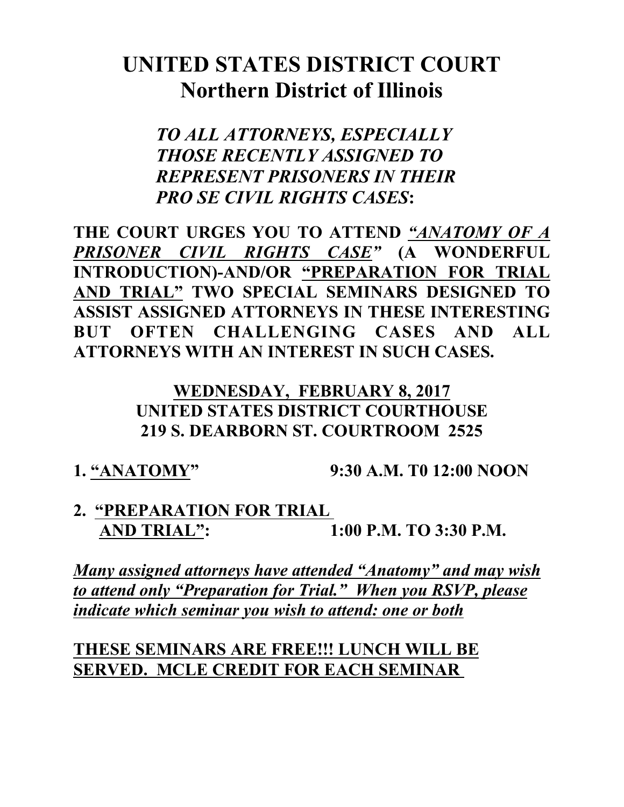## **UNITED STATES DISTRICT COURT Northern District of Illinois**

*TO ALL ATTORNEYS, ESPECIALLY THOSE RECENTLY ASSIGNED TO REPRESENT PRISONERS IN THEIR PRO SE CIVIL RIGHTS CASES***:**

**THE COURT URGES YOU TO ATTEND** *"ANATOMY OF A PRISONER CIVIL RIGHTS CASE"* **(A WONDERFUL INTRODUCTION)-AND/OR "PREPARATION FOR TRIAL AND TRIAL" TWO SPECIAL SEMINARS DESIGNED TO ASSIST ASSIGNED ATTORNEYS IN THESE INTERESTING BUT OFTEN CHALLENGING CASES AND ALL ATTORNEYS WITH AN INTEREST IN SUCH CASES.** 

> **WEDNESDAY, FEBRUARY 8, 2017 UNITED STATES DISTRICT COURTHOUSE 219 S. DEARBORN ST. COURTROOM 2525**

**1. "ANATOMY" 9:30 A.M. T0 12:00 NOON**

**2. "PREPARATION FOR TRIAL AND TRIAL":** 1:00 P.M. TO 3:30 P.M.

*Many assigned attorneys have attended "Anatomy" and may wish to attend only "Preparation for Trial." When you RSVP, please indicate which seminar you wish to attend: one or both*

**THESE SEMINARS ARE FREE!!! LUNCH WILL BE SERVED. MCLE CREDIT FOR EACH SEMINAR**